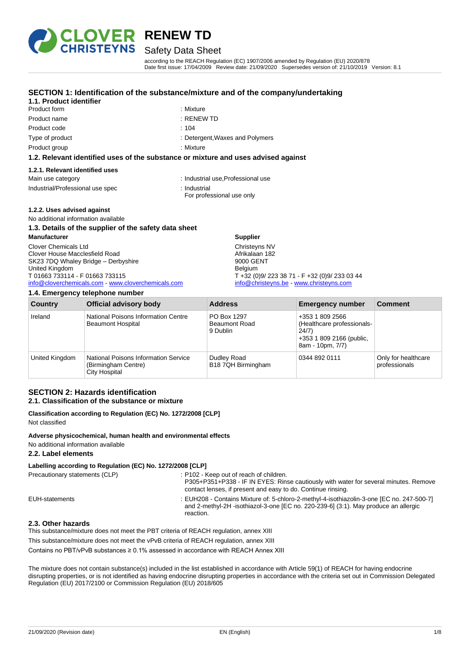

### Safety Data Sheet

according to the REACH Regulation (EC) 1907/2006 amended by Regulation (EU) 2020/878 Date first issue: 17/04/2009 Review date: 21/09/2020 Supersedes version of: 21/10/2019 Version: 8.1

#### **SECTION 1: Identification of the substance/mixture and of the company/undertaking**

### **1.1. Product identifier**

|                 | A.A. Beleiten Herritte der er ef ihre einheiten er en minime en den er er der |
|-----------------|-------------------------------------------------------------------------------|
| Product group   | : Mixture                                                                     |
| Type of product | : Detergent, Waxes and Polymers                                               |
| Product code    | :104                                                                          |
| Product name    | $:$ RENEW TD                                                                  |
| Product form    | : Mixture                                                                     |

#### **1.2. Relevant identified uses of the substance or mixture and uses advised against**

#### **1.2.1. Relevant identified uses**

Main use category **industrial use, Professional use** 

- Industrial/Professional use spec : Industrial
	- For professional use only

#### **1.2.2. Uses advised against**

No additional information available

#### **1.3. Details of the supplier of the safety data sheet Manufacturer** Clover Chemicals Ltd Clover House Macclesfield Road SK23 7DQ Whaley Bridge – Derbyshire United Kingdom T 01663 733114 - F 01663 733115 [info@cloverchemicals.com](mailto:info@cloverchemicals.com) - [www.cloverchemicals.com](http://www.cloverchemicals.com/) **Supplier** Christeyns NV Afrikalaan 182 9000 GENT Belgium T +32 (0)9/ 223 38 71 - F +32 (0)9/ 233 03 44 [info@christeyns.be](mailto:info@christeyns.be) - [www.christeyns.com](http://www.christeyns.com/)

#### **1.4. Emergency telephone number**

| Country        | <b>Official advisory body</b>                                                       | <b>Address</b>                                  | <b>Emergency number</b>                                                                                | <b>Comment</b>                       |
|----------------|-------------------------------------------------------------------------------------|-------------------------------------------------|--------------------------------------------------------------------------------------------------------|--------------------------------------|
| Ireland        | National Poisons Information Centre<br><b>Beaumont Hospital</b>                     | PO Box 1297<br><b>Beaumont Road</b><br>9 Dublin | +353 1 809 2566<br>(Healthcare professionals-<br>24/7)<br>+353 1 809 2166 (public,<br>8am - 10pm, 7/7) |                                      |
| United Kingdom | <b>National Poisons Information Service</b><br>(Birmingham Centre)<br>City Hospital | Dudley Road<br>B18 7QH Birmingham               | 0344 892 0111                                                                                          | Only for healthcare<br>professionals |

#### **SECTION 2: Hazards identification 2.1. Classification of the substance or mixture**

#### **Classification according to Regulation (EC) No. 1272/2008 [CLP]** Not classified

#### **Adverse physicochemical, human health and environmental effects** No additional information available

#### **2.2. Label elements**

#### **Labelling according to Regulation (EC) No. 1272/2008 [CLP]**

| Precautionary statements (CLP) | : P102 - Keep out of reach of children.<br>P305+P351+P338 - IF IN EYES: Rinse cautiously with water for several minutes. Remove<br>contact lenses, if present and easy to do. Continue rinsing. |
|--------------------------------|-------------------------------------------------------------------------------------------------------------------------------------------------------------------------------------------------|
| EUH-statements                 | : EUH208 - Contains Mixture of: 5-chloro-2-methyl-4-isothiazolin-3-one [EC no. 247-500-7]<br>and 2-methyl-2H-isothiazol-3-one [EC no. 220-239-6] (3:1). May produce an allergic<br>reaction.    |
| 2.3. Other hazards             |                                                                                                                                                                                                 |

#### This substance/mixture does not meet the PBT criteria of REACH regulation, annex XIII

This substance/mixture does not meet the vPvB criteria of REACH regulation, annex XIII

Contains no PBT/vPvB substances ≥ 0.1% assessed in accordance with REACH Annex XIII

The mixture does not contain substance(s) included in the list established in accordance with Article 59(1) of REACH for having endocrine disrupting properties, or is not identified as having endocrine disrupting properties in accordance with the criteria set out in Commission Delegated Regulation (EU) 2017/2100 or Commission Regulation (EU) 2018/605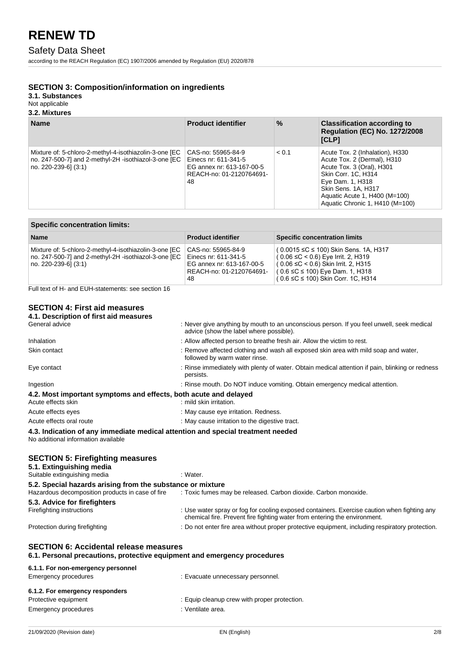### Safety Data Sheet

according to the REACH Regulation (EC) 1907/2006 amended by Regulation (EU) 2020/878

#### **SECTION 3: Composition/information on ingredients**

**3.1. Substances**

#### Not applicable

#### **3.2. Mixtures**

| <b>Name</b>                                                                                                                            | <b>Product identifier</b>                                                                                 | $\%$  | <b>Classification according to</b><br><b>Requlation (EC) No. 1272/2008</b><br>[CLP]                                                                                                                                               |
|----------------------------------------------------------------------------------------------------------------------------------------|-----------------------------------------------------------------------------------------------------------|-------|-----------------------------------------------------------------------------------------------------------------------------------------------------------------------------------------------------------------------------------|
| Mixture of: 5-chloro-2-methyl-4-isothiazolin-3-one [EC<br>no. 247-500-7] and 2-methyl-2H -isothiazol-3-one [EC<br>no. 220-239-61 (3:1) | CAS-no: 55965-84-9<br>Einecs nr: 611-341-5<br>EG annex nr: 613-167-00-5<br>REACH-no: 01-2120764691-<br>48 | < 0.1 | Acute Tox. 2 (Inhalation), H330<br>Acute Tox. 2 (Dermal), H310<br>Acute Tox. 3 (Oral), H301<br>Skin Corr. 1C, H314<br>Eye Dam. 1, H318<br>Skin Sens. 1A, H317<br>Aquatic Acute 1, H400 (M=100)<br>Aquatic Chronic 1, H410 (M=100) |

| <b>Specific concentration limits:</b>                                                                                                    |                                                                                                           |                                                                                                                                                                                                                        |  |
|------------------------------------------------------------------------------------------------------------------------------------------|-----------------------------------------------------------------------------------------------------------|------------------------------------------------------------------------------------------------------------------------------------------------------------------------------------------------------------------------|--|
| <b>Name</b>                                                                                                                              | <b>Product identifier</b>                                                                                 | <b>Specific concentration limits</b>                                                                                                                                                                                   |  |
| Mixture of: 5-chloro-2-methyl-4-isothiazolin-3-one [EC<br>no. 247-500-7] and 2-methyl-2H -isothiazol-3-one [EC<br>  no. 220-239-6] (3:1) | CAS-no: 55965-84-9<br>Einecs nr: 611-341-5<br>EG annex nr: 613-167-00-5<br>REACH-no: 01-2120764691-<br>48 | $(0.0015 \leq C \leq 100)$ Skin Sens. 1A, H317<br>$(0.06 ≤ C < 0.6)$ Eye Irrit. 2, H319<br>$(0.06 \leq C < 0.6)$ Skin Irrit. 2, H315<br>(0.6 ≤C ≤ 100) Eye Dam. 1, H318<br>$(0.6 \leq C \leq 100)$ Skin Corr. 1C, H314 |  |

Full text of H- and EUH-statements: see section 16

### **SECTION 4: First aid measures**

| 4.1. Description of first aid measures                                                                                    |                                                                                                                                                                          |
|---------------------------------------------------------------------------------------------------------------------------|--------------------------------------------------------------------------------------------------------------------------------------------------------------------------|
| General advice                                                                                                            | : Never give anything by mouth to an unconscious person. If you feel unwell, seek medical<br>advice (show the label where possible).                                     |
| Inhalation                                                                                                                | : Allow affected person to breathe fresh air. Allow the victim to rest.                                                                                                  |
| Skin contact                                                                                                              | : Remove affected clothing and wash all exposed skin area with mild soap and water,<br>followed by warm water rinse.                                                     |
| Eye contact                                                                                                               | : Rinse immediately with plenty of water. Obtain medical attention if pain, blinking or redness<br>persists.                                                             |
| Ingestion                                                                                                                 | : Rinse mouth. Do NOT induce vomiting. Obtain emergency medical attention.                                                                                               |
| 4.2. Most important symptoms and effects, both acute and delayed                                                          |                                                                                                                                                                          |
| Acute effects skin                                                                                                        | : mild skin irritation.                                                                                                                                                  |
| Acute effects eyes                                                                                                        | : May cause eye irritation. Redness.                                                                                                                                     |
| Acute effects oral route                                                                                                  | : May cause irritation to the digestive tract.                                                                                                                           |
| 4.3. Indication of any immediate medical attention and special treatment needed<br>No additional information available    |                                                                                                                                                                          |
| <b>SECTION 5: Firefighting measures</b><br>5.1. Extinguishing media<br>Suitable extinguishing media                       | : Water.                                                                                                                                                                 |
| 5.2. Special hazards arising from the substance or mixture                                                                |                                                                                                                                                                          |
| Hazardous decomposition products in case of fire                                                                          | : Toxic fumes may be released. Carbon dioxide. Carbon monoxide.                                                                                                          |
| 5.3. Advice for firefighters                                                                                              |                                                                                                                                                                          |
| Firefighting instructions                                                                                                 | : Use water spray or fog for cooling exposed containers. Exercise caution when fighting any<br>chemical fire. Prevent fire fighting water from entering the environment. |
| Protection during firefighting                                                                                            | : Do not enter fire area without proper protective equipment, including respiratory protection.                                                                          |
| <b>SECTION 6: Accidental release measures</b><br>6.1. Personal precautions, protective equipment and emergency procedures |                                                                                                                                                                          |

| 6.1.1. For non-emergency personnel |                                              |
|------------------------------------|----------------------------------------------|
| Emergency procedures               | : Evacuate unnecessary personnel.            |
| 6.1.2. For emergency responders    |                                              |
| Protective equipment               | : Equip cleanup crew with proper protection. |
| Emergency procedures               | : Ventilate area.                            |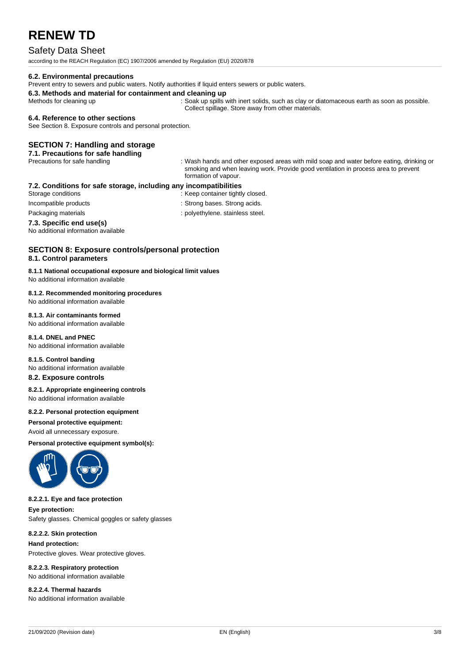## Safety Data Sheet

according to the REACH Regulation (EC) 1907/2006 amended by Regulation (EU) 2020/878

#### **6.2. Environmental precautions**

Prevent entry to sewers and public waters. Notify authorities if liquid enters sewers or public waters.

**6.3. Methods and material for containment and cleaning up**

Methods for cleaning up : Soak up spills with inert solids, such as clay or diatomaceous earth as soon as possible. Collect spillage. Store away from other materials.

#### **6.4. Reference to other sections**

See Section 8. Exposure controls and personal protection.

#### **SECTION 7: Handling and storage**

**7.1. Precautions for safe handling**<br>Precautions for safe handling

: Wash hands and other exposed areas with mild soap and water before eating, drinking or smoking and when leaving work. Provide good ventilation in process area to prevent formation of vapour.

#### **7.2. Conditions for safe storage, including any incompatibilities**

Storage conditions **Storage conditions** : Keep container tightly closed.

- 
- Incompatible products in the strong bases. Strong acids.
- Packaging materials **Packaging materials** : polyethylene. stainless steel.

#### **7.3. Specific end use(s)**

No additional information available

#### **SECTION 8: Exposure controls/personal protection 8.1. Control parameters**

**8.1.1 National occupational exposure and biological limit values** No additional information available

#### **8.1.2. Recommended monitoring procedures**

No additional information available **8.1.3. Air contaminants formed**

No additional information available

#### **8.1.4. DNEL and PNEC**

No additional information available

#### **8.1.5. Control banding**

No additional information available **8.2. Exposure controls**

#### **8.2.1. Appropriate engineering controls**

No additional information available

### **8.2.2. Personal protection equipment**

**Personal protective equipment:**

Avoid all unnecessary exposure.

**Personal protective equipment symbol(s):**



#### **8.2.2.1. Eye and face protection**

**Eye protection:** Safety glasses. Chemical goggles or safety glasses

#### **8.2.2.2. Skin protection**

**Hand protection:** Protective gloves. Wear protective gloves.

## **8.2.2.3. Respiratory protection**

No additional information available

#### **8.2.2.4. Thermal hazards** No additional information available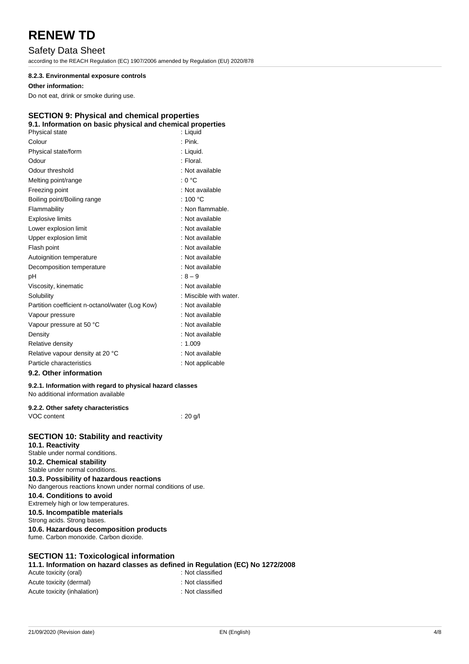## Safety Data Sheet

according to the REACH Regulation (EC) 1907/2006 amended by Regulation (EU) 2020/878

#### **8.2.3. Environmental exposure controls**

#### **Other information:**

Do not eat, drink or smoke during use.

### **SECTION 9: Physical and chemical properties**

| 9.1. Information on basic physical and chemical properties |                        |
|------------------------------------------------------------|------------------------|
| Physical state                                             | : Liquid               |
| Colour                                                     | $:$ Pink.              |
| Physical state/form                                        | : Liquid.              |
| Odour                                                      | : Floral               |
| Odour threshold                                            | : Not available        |
| Melting point/range                                        | ∴ ∩ °C                 |
| Freezing point                                             | : Not available        |
| Boiling point/Boiling range                                | : 100 $^{\circ}$ C     |
| Flammability                                               | : Non flammable.       |
| <b>Explosive limits</b>                                    | : Not available        |
| Lower explosion limit                                      | : Not available        |
| Upper explosion limit                                      | : Not available        |
| Flash point                                                | : Not available        |
| Autoignition temperature                                   | : Not available        |
| Decomposition temperature                                  | : Not available        |
| рH                                                         | $:8 - 9$               |
| Viscosity, kinematic                                       | : Not available        |
| Solubility                                                 | : Miscible with water. |
| Partition coefficient n-octanol/water (Log Kow)            | : Not available        |
| Vapour pressure                                            | : Not available        |
| Vapour pressure at 50 °C                                   | : Not available        |
| Density                                                    | : Not available        |
| Relative density                                           | :1.009                 |
| Relative vapour density at 20 °C                           | : Not available        |
| Particle characteristics                                   | : Not applicable       |

#### **9.2. Other information**

#### **9.2.1. Information with regard to physical hazard classes** No additional information available

| 9.2.2. Other safety characteristics |          |
|-------------------------------------|----------|
| VOC content                         | ∶ 20 g/l |

### **SECTION 10: Stability and reactivity**

**10.1. Reactivity** Stable under normal conditions. **10.2. Chemical stability** Stable under normal conditions. **10.3. Possibility of hazardous reactions** No dangerous reactions known under normal conditions of use. **10.4. Conditions to avoid** Extremely high or low temperatures. **10.5. Incompatible materials** Strong acids. Strong bases. **10.6. Hazardous decomposition products** fume. Carbon monoxide. Carbon dioxide.

### **SECTION 11: Toxicological information**

**11.1. Information on hazard classes as defined in Regulation (EC) No 1272/2008** Acute toxicity (oral) **Example 2** : Not classified

| Acute toxicity (dermal)     | : Not classified |
|-----------------------------|------------------|
| Acute toxicity (inhalation) | : Not classified |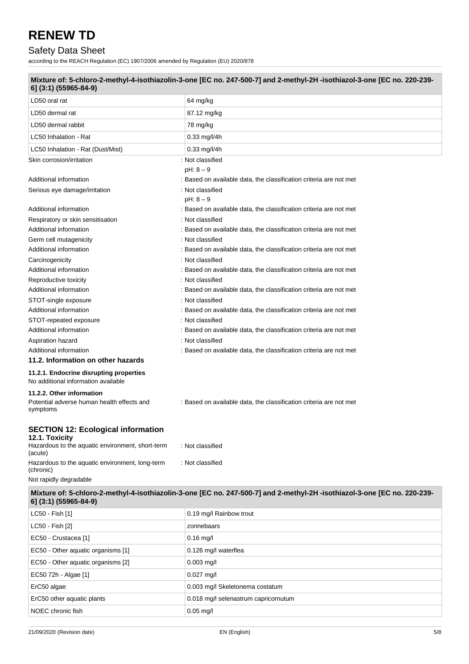## Safety Data Sheet

according to the REACH Regulation (EC) 1907/2006 amended by Regulation (EU) 2020/878

| 6] (3:1) (55965-84-9)                                        | Mixture of: 5-chloro-2-methyl-4-isothiazolin-3-one [EC no. 247-500-7] and 2-methyl-2H-isothiazol-3-one [EC no. 220-239- |  |
|--------------------------------------------------------------|-------------------------------------------------------------------------------------------------------------------------|--|
| LD50 oral rat                                                | 64 mg/kg                                                                                                                |  |
| LD50 dermal rat                                              | 87.12 mg/kg                                                                                                             |  |
| LD50 dermal rabbit                                           | 78 mg/kg                                                                                                                |  |
| LC50 Inhalation - Rat                                        | $0.33$ mg/l/4h                                                                                                          |  |
| LC50 Inhalation - Rat (Dust/Mist)                            | 0.33 mg/l/4h                                                                                                            |  |
| Skin corrosion/irritation                                    | : Not classified                                                                                                        |  |
|                                                              | $pH: 8 - 9$                                                                                                             |  |
| Additional information                                       | : Based on available data, the classification criteria are not met                                                      |  |
| Serious eye damage/irritation                                | : Not classified                                                                                                        |  |
|                                                              | $pH: 8 - 9$                                                                                                             |  |
| Additional information                                       | : Based on available data, the classification criteria are not met                                                      |  |
| Respiratory or skin sensitisation                            | : Not classified                                                                                                        |  |
| Additional information                                       | : Based on available data, the classification criteria are not met                                                      |  |
| Germ cell mutagenicity                                       | : Not classified                                                                                                        |  |
| Additional information                                       | : Based on available data, the classification criteria are not met                                                      |  |
| Carcinogenicity                                              | : Not classified                                                                                                        |  |
| Additional information                                       | : Based on available data, the classification criteria are not met                                                      |  |
| Reproductive toxicity                                        | : Not classified                                                                                                        |  |
| Additional information                                       | : Based on available data, the classification criteria are not met                                                      |  |
| STOT-single exposure                                         | : Not classified                                                                                                        |  |
| Additional information                                       | : Based on available data, the classification criteria are not met                                                      |  |
| STOT-repeated exposure                                       | : Not classified                                                                                                        |  |
| Additional information                                       | : Based on available data, the classification criteria are not met                                                      |  |
| Aspiration hazard<br>Additional information                  | : Not classified<br>: Based on available data, the classification criteria are not met                                  |  |
| 11.2. Information on other hazards                           |                                                                                                                         |  |
| 11.2.1. Endocrine disrupting properties                      |                                                                                                                         |  |
| No additional information available                          |                                                                                                                         |  |
| 11.2.2. Other information                                    |                                                                                                                         |  |
| Potential adverse human health effects and<br>symptoms       | : Based on available data, the classification criteria are not met                                                      |  |
| <b>SECTION 12: Ecological information</b>                    |                                                                                                                         |  |
| 12.1. Toxicity                                               |                                                                                                                         |  |
| Hazardous to the aquatic environment, short-term<br>(acute)  | : Not classified                                                                                                        |  |
| Hazardous to the aquatic environment, long-term<br>(chronic) | : Not classified                                                                                                        |  |
| Not rapidly degradable                                       |                                                                                                                         |  |
| 6] (3:1) (55965-84-9)                                        | Mixture of: 5-chloro-2-methyl-4-isothiazolin-3-one [EC no. 247-500-7] and 2-methyl-2H-isothiazol-3-one [EC no. 220-239- |  |
| LC50 - Fish [1]                                              | 0.19 mg/l Rainbow trout                                                                                                 |  |
| LC50 - Fish [2]                                              | zonnebaars                                                                                                              |  |
| EC50 - Crustacea [1]                                         | $0.16$ mg/l                                                                                                             |  |
| EC50 - Other aquatic organisms [1]                           | 0.126 mg/l waterflea                                                                                                    |  |
| EC50 - Other aquatic organisms [2]                           | $0.003$ mg/l                                                                                                            |  |
| EC50 72h - Algae [1]                                         | $0.027$ mg/l                                                                                                            |  |
| ErC50 algae                                                  | 0.003 mg/l Skeletonema costatum                                                                                         |  |
| ErC50 other aquatic plants                                   | 0.018 mg/l selenastrum capricornutum                                                                                    |  |

NOEC chronic fish  $0.05 \text{ mg/l}$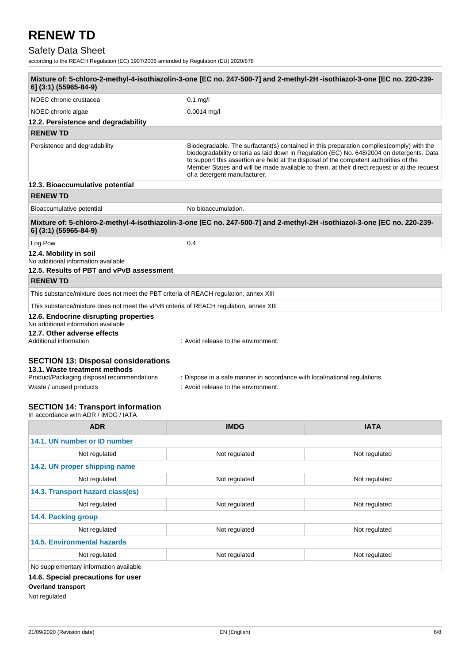## Safety Data Sheet

according to the REACH Regulation (EC) 1907/2006 amended by Regulation (EU) 2020/878

| Mixture of: 5-chloro-2-methyl-4-isothiazolin-3-one [EC no. 247-500-7] and 2-methyl-2H-isothiazol-3-one [EC no. 220-239-<br>6] (3:1) (55965-84-9)                                                 |                                                                                                                  |                                                                                                                                                                                                                                                                                                                                                                                  |  |  |
|--------------------------------------------------------------------------------------------------------------------------------------------------------------------------------------------------|------------------------------------------------------------------------------------------------------------------|----------------------------------------------------------------------------------------------------------------------------------------------------------------------------------------------------------------------------------------------------------------------------------------------------------------------------------------------------------------------------------|--|--|
| NOEC chronic crustacea                                                                                                                                                                           | $0.1$ mg/l                                                                                                       |                                                                                                                                                                                                                                                                                                                                                                                  |  |  |
| NOEC chronic algae                                                                                                                                                                               | $0.0014$ mg/l                                                                                                    |                                                                                                                                                                                                                                                                                                                                                                                  |  |  |
| 12.2. Persistence and degradability                                                                                                                                                              |                                                                                                                  |                                                                                                                                                                                                                                                                                                                                                                                  |  |  |
| <b>RENEW TD</b>                                                                                                                                                                                  |                                                                                                                  |                                                                                                                                                                                                                                                                                                                                                                                  |  |  |
| Persistence and degradability                                                                                                                                                                    | of a detergent manufacturer.                                                                                     | Biodegradable. The surfactant(s) contained in this preparation complies (comply) with the<br>biodegradability criteria as laid down in Regulation (EC) No. 648/2004 on detergents. Data<br>to support this assertion are held at the disposal of the competent authorities of the<br>Member States and will be made available to them, at their direct request or at the request |  |  |
| 12.3. Bioaccumulative potential                                                                                                                                                                  |                                                                                                                  |                                                                                                                                                                                                                                                                                                                                                                                  |  |  |
| <b>RENEW TD</b>                                                                                                                                                                                  |                                                                                                                  |                                                                                                                                                                                                                                                                                                                                                                                  |  |  |
| Bioaccumulative potential                                                                                                                                                                        | No bioaccumulation.                                                                                              |                                                                                                                                                                                                                                                                                                                                                                                  |  |  |
| Mixture of: 5-chloro-2-methyl-4-isothiazolin-3-one [EC no. 247-500-7] and 2-methyl-2H-isothiazol-3-one [EC no. 220-239-<br>6] (3:1) (55965-84-9)                                                 |                                                                                                                  |                                                                                                                                                                                                                                                                                                                                                                                  |  |  |
| Log Pow                                                                                                                                                                                          | 0.4                                                                                                              |                                                                                                                                                                                                                                                                                                                                                                                  |  |  |
| 12.4. Mobility in soil<br>No additional information available<br>12.5. Results of PBT and vPvB assessment                                                                                        |                                                                                                                  |                                                                                                                                                                                                                                                                                                                                                                                  |  |  |
| <b>RENEW TD</b>                                                                                                                                                                                  |                                                                                                                  |                                                                                                                                                                                                                                                                                                                                                                                  |  |  |
| This substance/mixture does not meet the PBT criteria of REACH regulation, annex XIII                                                                                                            |                                                                                                                  |                                                                                                                                                                                                                                                                                                                                                                                  |  |  |
| This substance/mixture does not meet the vPvB criteria of REACH regulation, annex XIII                                                                                                           |                                                                                                                  |                                                                                                                                                                                                                                                                                                                                                                                  |  |  |
| 12.6. Endocrine disrupting properties<br>No additional information available<br>12.7. Other adverse effects<br>Additional information                                                            | : Avoid release to the environment.                                                                              |                                                                                                                                                                                                                                                                                                                                                                                  |  |  |
| <b>SECTION 13: Disposal considerations</b><br>13.1. Waste treatment methods<br>Product/Packaging disposal recommendations<br>Waste / unused products<br><b>SECTION 14: Transport information</b> | : Dispose in a safe manner in accordance with local/national regulations.<br>: Avoid release to the environment. |                                                                                                                                                                                                                                                                                                                                                                                  |  |  |
| In accordance with ADR / IMDG / IATA                                                                                                                                                             |                                                                                                                  |                                                                                                                                                                                                                                                                                                                                                                                  |  |  |
| <b>ADR</b>                                                                                                                                                                                       | <b>IMDG</b>                                                                                                      | <b>IATA</b>                                                                                                                                                                                                                                                                                                                                                                      |  |  |

| 14.1. UN number or ID number           |               |               |
|----------------------------------------|---------------|---------------|
| Not regulated                          | Not regulated | Not regulated |
| 14.2. UN proper shipping name          |               |               |
| Not regulated                          | Not regulated | Not regulated |
| 14.3. Transport hazard class(es)       |               |               |
| Not regulated                          | Not regulated | Not regulated |
| 14.4. Packing group                    |               |               |
| Not regulated                          | Not regulated | Not regulated |
| <b>14.5. Environmental hazards</b>     |               |               |
| Not regulated                          | Not regulated | Not regulated |
| No supplementary information available |               |               |
| 14.6. Special precautions for user     |               |               |
| <b>Overland transport</b>              |               |               |
|                                        |               |               |

Not regulated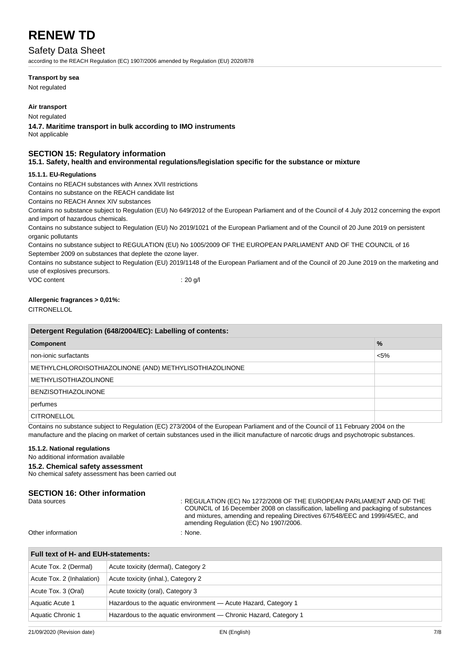### Safety Data Sheet

according to the REACH Regulation (EC) 1907/2006 amended by Regulation (EU) 2020/878

#### **Transport by sea**

Not regulated

#### **Air transport**

Not regulated

**14.7. Maritime transport in bulk according to IMO instruments** Not applicable

## **SECTION 15: Regulatory information**

#### **15.1. Safety, health and environmental regulations/legislation specific for the substance or mixture**

#### **15.1.1. EU-Regulations**

Contains no REACH substances with Annex XVII restrictions

Contains no substance on the REACH candidate list

Contains no REACH Annex XIV substances

Contains no substance subject to Regulation (EU) No 649/2012 of the European Parliament and of the Council of 4 July 2012 concerning the export and import of hazardous chemicals.

Contains no substance subject to Regulation (EU) No 2019/1021 of the European Parliament and of the Council of 20 June 2019 on persistent organic pollutants

Contains no substance subject to REGULATION (EU) No 1005/2009 OF THE EUROPEAN PARLIAMENT AND OF THE COUNCIL of 16 September 2009 on substances that deplete the ozone layer.

Contains no substance subject to Regulation (EU) 2019/1148 of the European Parliament and of the Council of 20 June 2019 on the marketing and use of explosives precursors.

VOC content : 20 g/l

#### **Allergenic fragrances > 0,01%:**

**CITRONELLOL** 

| Detergent Regulation (648/2004/EC): Labelling of contents: |               |  |
|------------------------------------------------------------|---------------|--|
| Component                                                  | $\frac{9}{6}$ |  |
| non-ionic surfactants                                      | $< 5\%$       |  |
| METHYLCHLOROISOTHIAZOLINONE (AND) METHYLISOTHIAZOLINONE    |               |  |
| <b>METHYLISOTHIAZOLINONE</b>                               |               |  |
| <b>BENZISOTHIAZOLINONE</b>                                 |               |  |
| perfumes                                                   |               |  |
| <b>CITRONELLOL</b>                                         |               |  |

Contains no substance subject to Regulation (EC) 273/2004 of the European Parliament and of the Council of 11 February 2004 on the manufacture and the placing on market of certain substances used in the illicit manufacture of narcotic drugs and psychotropic substances.

#### **15.1.2. National regulations**

No additional information available

#### **15.2. Chemical safety assessment**

No chemical safety assessment has been carried out

## **SECTION 16: Other information**<br>Data sources

: REGULATION (EC) No 1272/2008 OF THE EUROPEAN PARLIAMENT AND OF THE COUNCIL of 16 December 2008 on classification, labelling and packaging of substances and mixtures, amending and repealing Directives 67/548/EEC and 1999/45/EC, and amending Regulation (EC) No 1907/2006.

Other information in the state of the state of the state of the state of the state of the state of the state of the state of the state of the state of the state of the state of the state of the state of the state of the st

| Full text of H- and EUH-statements: |                                                                   |  |
|-------------------------------------|-------------------------------------------------------------------|--|
| Acute Tox. 2 (Dermal)               | Acute toxicity (dermal), Category 2                               |  |
| Acute Tox. 2 (Inhalation)           | Acute toxicity (inhal.), Category 2                               |  |
| Acute Tox. 3 (Oral)                 | Acute toxicity (oral), Category 3                                 |  |
| Aquatic Acute 1                     | Hazardous to the aquatic environment - Acute Hazard, Category 1   |  |
| Aquatic Chronic 1                   | Hazardous to the aquatic environment - Chronic Hazard, Category 1 |  |